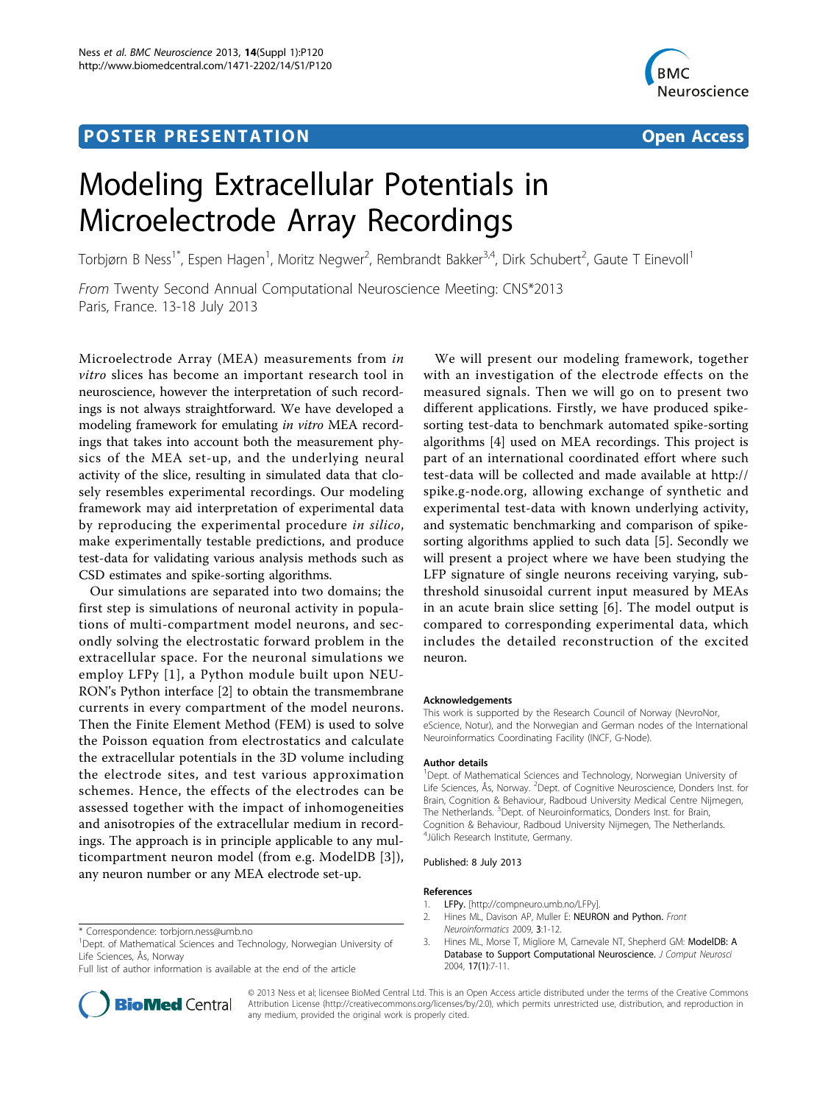# **POSTER PRESENTATION CONSUMING THE SERVICE SERVICE SERVICES**



# Modeling Extracellular Potentials in Microelectrode Array Recordings

Torbjørn B Ness<sup>1\*</sup>, Espen Hagen<sup>1</sup>, Moritz Negwer<sup>2</sup>, Rembrandt Bakker<sup>3,4</sup>, Dirk Schubert<sup>2</sup>, Gaute T Einevoll<sup>1</sup>

From Twenty Second Annual Computational Neuroscience Meeting: CNS\*2013 Paris, France. 13-18 July 2013

Microelectrode Array (MEA) measurements from in vitro slices has become an important research tool in neuroscience, however the interpretation of such recordings is not always straightforward. We have developed a modeling framework for emulating in vitro MEA recordings that takes into account both the measurement physics of the MEA set-up, and the underlying neural activity of the slice, resulting in simulated data that closely resembles experimental recordings. Our modeling framework may aid interpretation of experimental data by reproducing the experimental procedure in silico, make experimentally testable predictions, and produce test-data for validating various analysis methods such as CSD estimates and spike-sorting algorithms.

Our simulations are separated into two domains; the first step is simulations of neuronal activity in populations of multi-compartment model neurons, and secondly solving the electrostatic forward problem in the extracellular space. For the neuronal simulations we employ LFPy [1], a Python module built upon NEU-RON's Python interface [2] to obtain the transmembrane currents in every compartment of the model neurons. Then the Finite Element Method (FEM) is used to solve the Poisson equation from electrostatics and calculate the extracellular potentials in the 3D volume including the electrode sites, and test various approximation schemes. Hence, the effects of the electrodes can be assessed together with the impact of inhomogeneities and anisotropies of the extracellular medium in recordings. The approach is in principle applicable to any multicompartment neuron model (from e.g. ModelDB [3]), any neuron number or any MEA electrode set-up.

Full list of author information is available at the end of the article



We will present our modeling framework, together with an investigation of the electrode effects on the measured signals. Then we will go on to present two different applications. Firstly, we have produced spikesorting test-data to benchmark automated spike-sorting algorithms [[4\]](#page-1-0) used on MEA recordings. This project is part of an international coordinated effort where such test-data will be collected and made available at [http://](http://spike.g-node.org) [spike.g-node.org,](http://spike.g-node.org) allowing exchange of synthetic and experimental test-data with known underlying activity, and systematic benchmarking and comparison of spikesorting algorithms applied to such data [[5\]](#page-1-0). Secondly we will present a project where we have been studying the LFP signature of single neurons receiving varying, subthreshold sinusoidal current input measured by MEAs in an acute brain slice setting [\[6](#page-1-0)]. The model output is compared to corresponding experimental data, which includes the detailed reconstruction of the excited neuron.

#### Acknowledgements

This work is supported by the Research Council of Norway (NevroNor, eScience, Notur), and the Norwegian and German nodes of the International Neuroinformatics Coordinating Facility (INCF, G-Node).

#### Author details

<sup>1</sup>Dept. of Mathematical Sciences and Technology, Norwegian University of Life Sciences, Ås, Norway. <sup>2</sup>Dept. of Cognitive Neuroscience, Donders Inst. for Brain, Cognition & Behaviour, Radboud University Medical Centre Nijmegen, The Netherlands. <sup>3</sup>Dept. of Neuroinformatics, Donders Inst. for Brain Cognition & Behaviour, Radboud University Nijmegen, The Netherlands. 4 Jülich Research Institute, Germany.

#### Published: 8 July 2013

#### References

- 1. LFPy. [\[http://compneuro.umb.no/LFPy\]](http://compneuro.umb.no/LFPy).
- 2. Hines ML, Davison AP, Muller E: NEURON and Python. Front Neuroinformatics 2009, 3:1-12.
- 3. Hines ML, Morse T, Migliore M, Carnevale NT, Shepherd GM: [ModelDB: A](http://www.ncbi.nlm.nih.gov/pubmed/15218350?dopt=Abstract) [Database to Support Computational Neuroscience.](http://www.ncbi.nlm.nih.gov/pubmed/15218350?dopt=Abstract) J Comput Neurosci 2004, 17(1):7-11.

© 2013 Ness et al; licensee BioMed Central Ltd. This is an Open Access article distributed under the terms of the Creative Commons Attribution License [\(http://creativecommons.org/licenses/by/2.0](http://creativecommons.org/licenses/by/2.0)), which permits unrestricted use, distribution, and reproduction in any medium, provided the original work is properly cited.

<sup>\*</sup> Correspondence: [torbjorn.ness@umb.no](mailto:torbjorn.ness@umb.no)

<sup>&</sup>lt;sup>1</sup>Dept. of Mathematical Sciences and Technology, Norwegian University of Life Sciences, Ås, Norway